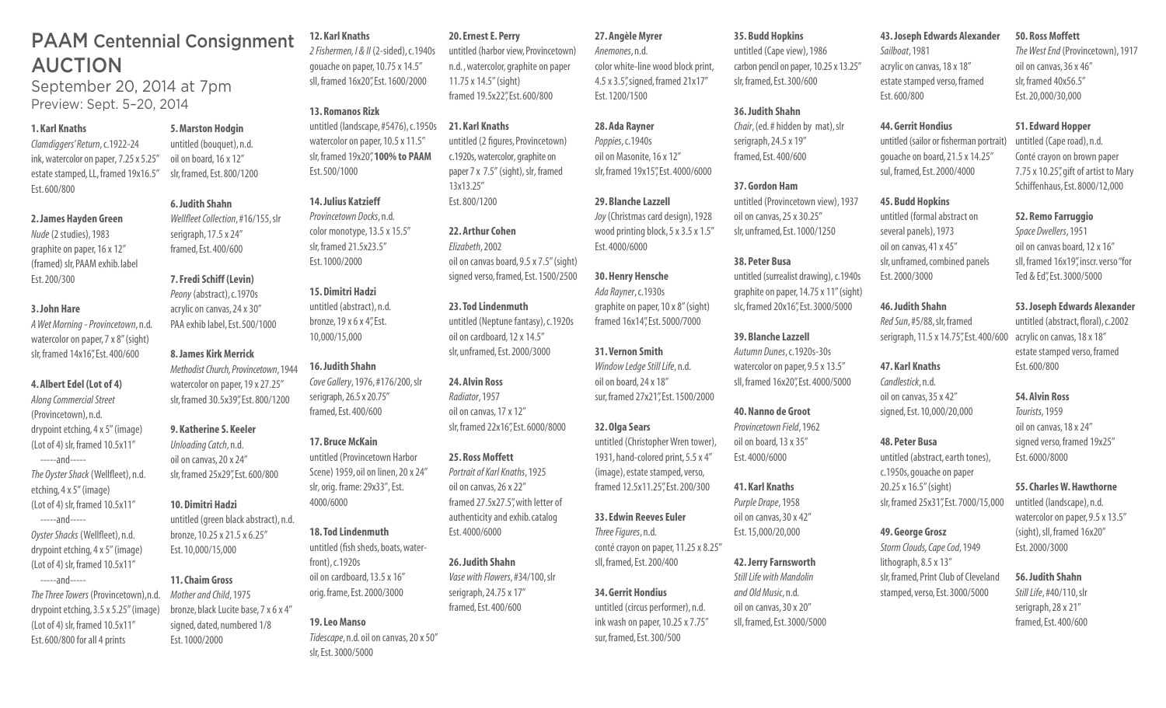## PAAM Centennial Consignment AUCTION

September 20, 2014 at 7pm Preview: Sept. 5–20, 2014

### **1. Karl Knaths**

*Clamdiggers' Return*, c.1922-24 ink, watercolor on paper, 7.25 x 5.25" estate stamped, LL, framed 19x16.5" Est. 600/800

### **2. James Hayden Green**

*Nude* (2 studies), 1983 graphite on paper, 16 x 12" (framed) slr, PAAM exhib. label Est. 200/300

### **3. John Hare**

*A Wet Morning - Provincetown*, n.d. watercolor on paper, 7 x 8" (sight) slr, framed 14x16", Est. 400/600

### **4. Albert Edel (Lot of 4)**

*Along Commercial Street* (Provincetown), n.d. drypoint etching, 4 x 5" (image) (Lot of 4) slr, framed 10.5x11" -----and-----

*The Oyster Shack* (Wellfleet), n.d. etching, 4 x 5" (image) (Lot of 4) slr, framed 10.5x11"

-----and-----

*Oyster Shacks* (Wellfleet), n.d. drypoint etching, 4 x 5" (image) (Lot of 4) slr, framed 10.5x11"

 -----and----- *The Three Towers* (Provincetown),n.d. drypoint etching, 3.5 x 5.25" (image) (Lot of 4) slr, framed 10.5x11" Est. 600/800 for all 4 prints

### **5. Marston Hodgin**

serigraph, 17.5 x 24" framed, Est. 400/600

untitled (bouquet), n.d. oil on board, 16 x 12" slr, framed, Est. 800/1200

### **6. Judith Shahn**

*Wellfleet Collection*, #16/155, slr *Provincetown Docks*, n.d. color monotype, 13.5 x 15.5" slr, framed 21.5x23.5" Est. 1000/2000

**12. Karl Knaths** 

**13. Romanos Rizk** 

Est. 500/1000

**14. Julius Katzieff** 

untitled (abstract), n.d. bronze, 19 x 6 x 4", Est. 10,000/15,000

**16. Judith Shahn** 

**17. Bruce McKain** 

4000/6000

front), c.1920s

*Cove Gallery*, 1976, #176/200, slr serigraph, 26.5 x 20.75" framed, Est. 400/600

untitled (Provincetown Harbor Scene) 1959, oil on linen, 20 x 24" slr, orig. frame: 29x33", Est.

*2 Fishermen, I & II* (2-sided), c.1940s gouache on paper, 10.75 x 14.5" sll, framed 16x20", Est. 1600/2000

### **7. Fredi Schiff (Levin)**  *Peony* (abstract), c.1970s **15. Dimitri Hadzi**

acrylic on canvas, 24 x 30" PAA exhib label, Est. 500/1000

### **8. James Kirk Merrick**  *Methodist Church, Provincetown*, 1944

watercolor on paper, 19 x 27.25" slr, framed 30.5x39", Est. 800/1200

### **9. Katherine S. Keeler**

*Unloading Catch*, n.d. oil on canvas, 20 x 24" slr, framed 25x29", Est. 600/800

### **10. Dimitri Hadzi**

untitled (green black abstract), n.d. bronze, 10.25 x 21.5 x 6.25" Est. 10,000/15,000

### **11. Chaim Gross**

*Mother and Child*, 1975 bronze, black Lucite base, 7 x 6 x 4" signed, dated, numbered 1/8 Est. 1000/2000

### **20. Ernest E. Perry**

untitled (harbor view, Provincetown) n.d. , watercolor, graphite on paper 11.75 x 14.5" (sight) framed 19.5x22", Est. 600/800

untitled (landscape, #5476), c.1950s watercolor on paper, 10.5 x 11.5" slr, framed 19x20", **100% to PAAM 21. Karl Knaths**  untitled (2 figures, Provincetown) c.1920s, watercolor, graphite on paper 7 x 7.5" (sight), slr, framed 13x13.25" Est. 800/1200

### **22. Arthur Cohen**  *Elizabeth*, 2002 oil on canvas board, 9.5 x 7.5" (sight) signed verso, framed, Est. 1500/2500

**23. Tod Lindenmuth**  untitled (Neptune fantasy), c.1920s oil on cardboard, 12 x 14.5" slr, unframed, Est. 2000/3000

**24. Alvin Ross**  *Radiator*, 1957 oil on canvas, 17 x 12" slr, framed 22x16", Est. 6000/8000

### **25. Ross Moffett**  *Portrait of Karl Knaths*, 1925 oil on canvas, 26 x 22" framed 27.5x27.5", with letter of authenticity and exhib. catalog

Est. 4000/6000 **26. Judith Shahn**  *Vase with Flowers*, #34/100, slr serigraph, 24.75 x 17" framed, Est. 400/600

### **19. Leo Manso**

**18. Tod Lindenmuth** 

untitled (fish sheds, boats, water-

oil on cardboard, 13.5 x 16" orig. frame, Est. 2000/3000

*Tidescape*, n.d. oil on canvas, 20 x 50" slr, Est. 3000/5000

### **27. Angèle Myrer**

*Anemones*, n.d. color white-line wood block print, 4.5 x 3.5", signed, framed 21x17" Est. 1200/1500

### **28. Ada Rayner**

*Poppies*, c.1940s oil on Masonite, 16 x 12" slr, framed 19x15", Est. 4000/6000

### **29. Blanche Lazzell**

*Joy* (Christmas card design), 1928 wood printing block, 5 x 3.5 x 1.5" Est. 4000/6000

### **30. Henry Hensche**

*Ada Rayner*, c.1930s graphite on paper, 10 x 8" (sight) framed 16x14", Est. 5000/7000

### **31. Vernon Smith**  *Window Ledge Still Life*, n.d. oil on board, 24 x 18" sur, framed 27x21", Est. 1500/2000

**32. Olga Sears**  untitled (Christopher Wren tower), 1931, hand-colored print, 5.5 x 4" (image), estate stamped, verso,

framed 12.5x11.25", Est. 200/300 **33. Edwin Reeves Euler**  *Three Figures*, n.d. conté crayon on paper, 11.25 x 8.25"

### sll, framed, Est. 200/400

**34. Gerrit Hondius**  untitled (circus performer), n.d. ink wash on paper, 10.25 x 7.75" sur, framed, Est. 300/500

### **35. Budd Hopkins**

untitled (Cape view), 1986 carbon pencil on paper, 10.25 x 13.25" slr, framed, Est. 300/600

### **36. Judith Shahn**

*Chair*, (ed. # hidden by mat), slr serigraph, 24.5 x 19" framed, Est. 400/600

### **37. Gordon Ham**

untitled (Provincetown view), 1937 oil on canvas, 25 x 30.25" slr, unframed, Est. 1000/1250

### **38. Peter Busa**

untitled (surrealist drawing), c.1940s graphite on paper, 14.75 x 11" (sight) slc, framed 20x16", Est. 3000/5000

### **39. Blanche Lazzell**

*Autumn Dunes*, c.1920s-30s watercolor on paper, 9.5 x 13.5" sll, framed 16x20", Est. 4000/5000

### **40. Nanno de Groot**

*Provincetown Field*, 1962 oil on board, 13 x 35" Est. 4000/6000

### **41. Karl Knaths**  *Purple Drape*, 1958 oil on canvas, 30 x 42"

Est. 15,000/20,000

### **42. Jerry Farnsworth**

*Still Life with Mandolin and Old Music*, n.d. oil on canvas, 30 x 20" sll, framed, Est. 3000/5000

### **43. Joseph Edwards Alexander 50. Ross Moffett**

*Sailboat*, 1981 acrylic on canvas, 18 x 18" estate stamped verso, framed Est. 600/800

### slr, framed 40x56.5" Est. 20,000/30,000

**51. Edward Hopper** 

untitled (Cape road), n.d. Conté crayon on brown paper 7.75 x 10.25", gift of artist to Mary Schiffenhaus, Est. 8000/12,000

**52. Remo Farruggio**  *Space Dwellers*, 1951 oil on canvas board, 12 x 16" sll, framed 16x19", inscr. verso "for Ted & Ed", Est. 3000/5000

**53. Joseph Edwards Alexander** 

oil on canvas, 36 x 46"

*The West End* (Provincetown), 1917

untitled (sailor or fisherman portrait) gouache on board, 21.5 x 14.25" sul, framed, Est. 2000/4000

### **45. Budd Hopkins**

**44. Gerrit Hondius** 

untitled (formal abstract on several panels), 1973 oil on canvas, 41 x 45" slr, unframed, combined panels Est. 2000/3000

### **46. Judith Shahn**

*Red Sun*, #5/88, slr, framed serigraph, 11.5 x 14.75", Est. 400/600 untitled (abstract, floral), c.2002 acrylic on canvas, 18 x 18" estate stamped verso, framed

**47. Karl Knaths**  *Candlestick*, n.d. oil on canvas, 35 x 42"

signed, Est. 10,000/20,000

### **48. Peter Busa**  untitled (abstract, earth tones), c.1950s, gouache on paper 20.25 x 16.5" (sight)

# *Storm Clouds, Cape Cod*, 1949 lithograph, 8.5 x 13"

stamped, verso, Est. 3000/5000

Est. 2000/3000 **56. Judith Shahn** 

### *Still Life*, #40/110, slr serigraph, 28 x 21" framed, Est. 400/600

*Tourists*, 1959 oil on canvas, 18 x 24" signed verso, framed 19x25"

Est. 600/800

**54. Alvin Ross** 

**55. Charles W. Hawthorne**  untitled (landscape), n.d.

watercolor on paper, 9.5 x 13.5" (sight), sll, framed 16x20"

# Est. 6000/8000



# slr, framed 25x31", Est. 7000/15,000

# **49. George Grosz**  slr, framed, Print Club of Cleveland